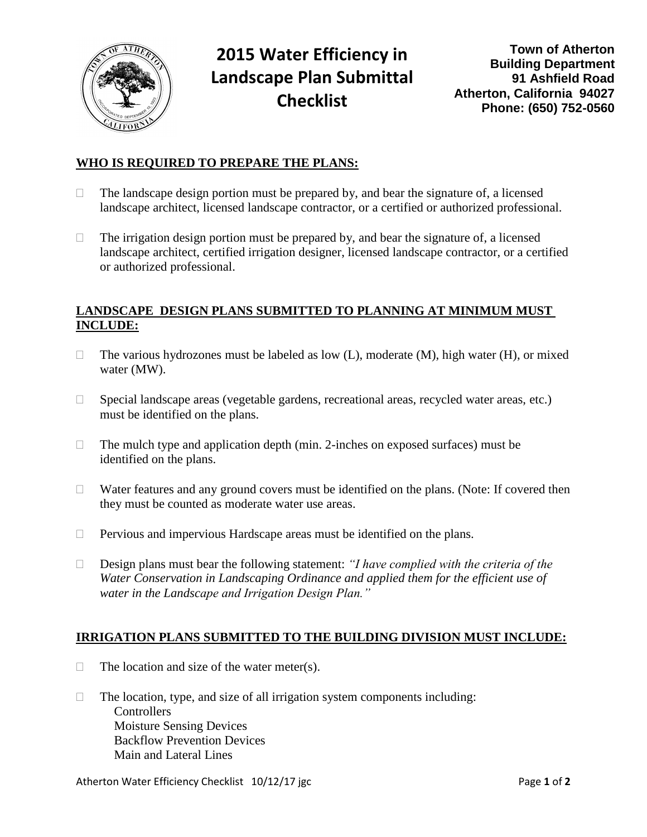

# **2015 Water Efficiency in Landscape Plan Submittal Checklist**

## **WHO IS REQUIRED TO PREPARE THE PLANS:**

- $\Box$  The landscape design portion must be prepared by, and bear the signature of, a licensed landscape architect, licensed landscape contractor, or a certified or authorized professional.
- $\Box$  The irrigation design portion must be prepared by, and bear the signature of, a licensed landscape architect, certified irrigation designer, licensed landscape contractor, or a certified or authorized professional.

## **LANDSCAPE DESIGN PLANS SUBMITTED TO PLANNING AT MINIMUM MUST INCLUDE:**

- $\Box$  The various hydrozones must be labeled as low (L), moderate (M), high water (H), or mixed water (MW).
- □ Special landscape areas (vegetable gardens, recreational areas, recycled water areas, etc.) must be identified on the plans.
- $\Box$  The mulch type and application depth (min. 2-inches on exposed surfaces) must be identified on the plans.
- $\Box$  Water features and any ground covers must be identified on the plans. (Note: If covered then they must be counted as moderate water use areas.
- $\Box$  Pervious and impervious Hardscape areas must be identified on the plans.
- Design plans must bear the following statement: *"I have complied with the criteria of the Water Conservation in Landscaping Ordinance and applied them for the efficient use of water in the Landscape and Irrigation Design Plan."*

#### **IRRIGATION PLANS SUBMITTED TO THE BUILDING DIVISION MUST INCLUDE:**

- $\Box$  The location and size of the water meter(s).
- $\Box$  The location, type, and size of all irrigation system components including: **Controllers** Moisture Sensing Devices Backflow Prevention Devices Main and Lateral Lines